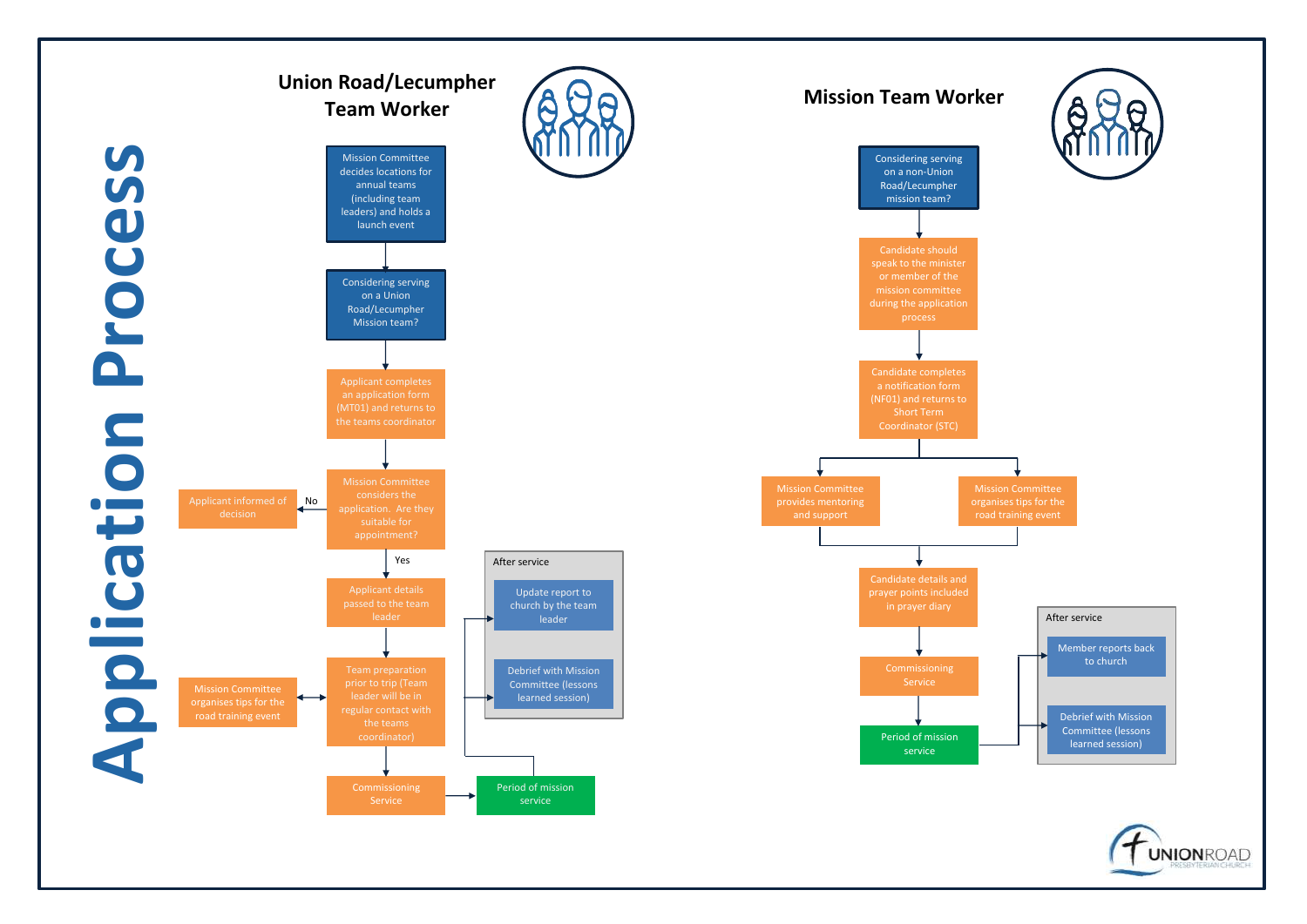







organises tips for the road training event